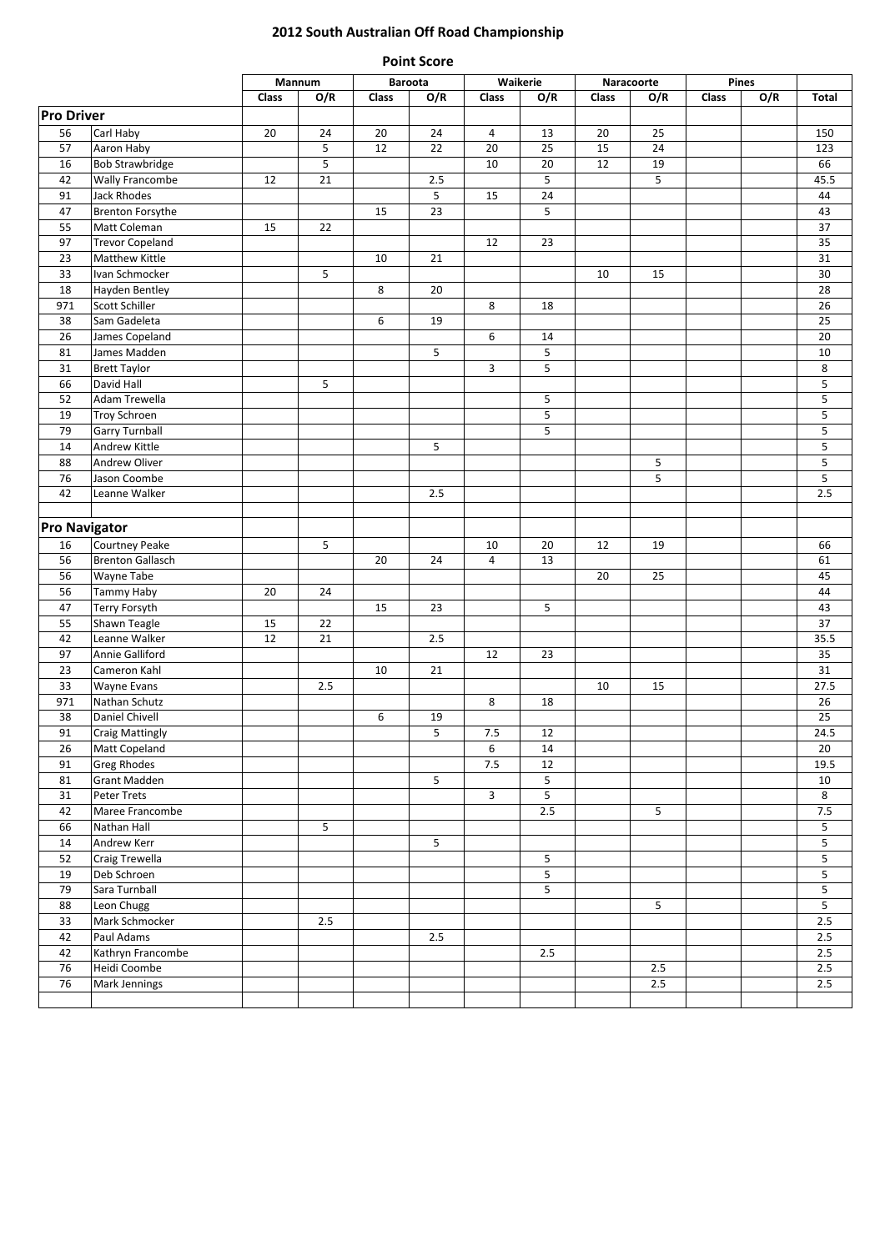## **2012 South Australian Off Road Championship**

| <b>Point Score</b>   |                                   |        |     |              |                            |              |                |       |                    |       |     |                |
|----------------------|-----------------------------------|--------|-----|--------------|----------------------------|--------------|----------------|-------|--------------------|-------|-----|----------------|
|                      |                                   | Mannum |     |              | <b>Baroota</b><br>Waikerie |              |                |       | Naracoorte         | Pines |     |                |
|                      |                                   | Class  | O/R | <b>Class</b> | O/R                        | Class        | O/R            | Class | O/R                | Class | O/R | <b>Total</b>   |
| <b>Pro Driver</b>    |                                   |        |     |              |                            |              |                |       |                    |       |     |                |
| 56                   | Carl Haby                         | 20     | 24  | 20           | 24                         | 4            | 13             | 20    | 25                 |       |     | 150            |
| 57                   | Aaron Haby                        |        | 5   | 12           | 22                         | 20           | 25             | 15    | 24                 |       |     | 123            |
| 16                   | <b>Bob Strawbridge</b>            |        | 5   |              |                            | 10           | 20             | 12    | 19                 |       |     | 66             |
| 42                   | <b>Wally Francombe</b>            | 12     | 21  |              | 2.5                        |              | 5              |       | 5                  |       |     | 45.5           |
| 91                   | Jack Rhodes                       |        |     |              | 5                          | 15           | 24             |       |                    |       |     | 44             |
| 47                   | <b>Brenton Forsythe</b>           |        |     | 15           | 23                         |              | 5              |       |                    |       |     | 43             |
| 55                   | Matt Coleman                      | 15     | 22  |              |                            |              |                |       |                    |       |     | 37             |
| 97                   | <b>Trevor Copeland</b>            |        |     |              |                            | 12           | 23             |       |                    |       |     | 35             |
| 23                   | Matthew Kittle                    |        |     | 10           | 21                         |              |                |       |                    |       |     | 31             |
| 33                   | Ivan Schmocker                    |        | 5   |              |                            |              |                | 10    | 15                 |       |     | 30             |
| 18                   | <b>Hayden Bentley</b>             |        |     | 8            | 20                         |              |                |       |                    |       |     | 28             |
| 971                  | Scott Schiller                    |        |     |              |                            | 8            | 18             |       |                    |       |     | 26             |
| 38                   | Sam Gadeleta                      |        |     | 6            | 19                         |              |                |       |                    |       |     | 25             |
| 26                   | James Copeland                    |        |     |              |                            | 6            | 14<br>5        |       |                    |       |     | 20             |
| 81<br>31             | James Madden                      |        |     |              | 5                          | 3            | 5              |       |                    |       |     | 10<br>8        |
| 66                   | <b>Brett Taylor</b><br>David Hall |        | 5   |              |                            |              |                |       |                    |       |     | 5              |
| 52                   | Adam Trewella                     |        |     |              |                            |              | 5              |       |                    |       |     | 5              |
| 19                   | <b>Troy Schroen</b>               |        |     |              |                            |              | 5              |       |                    |       |     | 5              |
| 79                   | <b>Garry Turnball</b>             |        |     |              |                            |              | 5              |       |                    |       |     | 5              |
| 14                   | Andrew Kittle                     |        |     |              | 5                          |              |                |       |                    |       |     | 5              |
| 88                   | Andrew Oliver                     |        |     |              |                            |              |                |       | 5                  |       |     | 5              |
| 76                   | Jason Coombe                      |        |     |              |                            |              |                |       | 5                  |       |     | 5              |
| 42                   | Leanne Walker                     |        |     |              | 2.5                        |              |                |       |                    |       |     | 2.5            |
|                      |                                   |        |     |              |                            |              |                |       |                    |       |     |                |
| <b>Pro Navigator</b> |                                   |        |     |              |                            |              |                |       |                    |       |     |                |
| 16                   | Courtney Peake                    |        | 5   |              |                            | 10           | 20             | 12    | 19                 |       |     | 66             |
| 56                   | <b>Brenton Gallasch</b>           |        |     | 20           | 24                         | 4            | 13             |       |                    |       |     | 61             |
| 56                   | Wayne Tabe                        |        |     |              |                            |              |                | 20    | 25                 |       |     | 45             |
| 56                   | Tammy Haby                        | 20     | 24  |              |                            |              |                |       |                    |       |     | 44             |
| 47                   | Terry Forsyth                     |        |     | 15           | 23                         |              | 5              |       |                    |       |     | 43             |
| 55                   | Shawn Teagle                      | 15     | 22  |              |                            |              |                |       |                    |       |     | 37             |
| 42                   | Leanne Walker                     | 12     | 21  |              | 2.5                        |              |                |       |                    |       |     | 35.5           |
| 97                   | Annie Galliford                   |        |     |              |                            | 12           | 23             |       |                    |       |     | 35             |
| 23                   | Cameron Kahl                      |        |     | 10           | 21                         |              |                |       |                    |       |     | 31             |
| 33                   | <b>Wayne Evans</b>                |        | 2.5 |              |                            |              |                | 10    | 15                 |       |     | 27.5           |
| 971                  | Nathan Schutz                     |        |     |              |                            | 8            | 18             |       |                    |       |     | 26             |
| 38                   | Daniel Chivell                    |        |     | 6            | 19                         |              |                |       |                    |       |     | 25             |
| 91                   | <b>Craig Mattingly</b>            |        |     |              | 5                          | $7.5\,$      | 12             |       |                    |       |     | 24.5           |
| 26                   | Matt Copeland                     |        |     |              |                            | 6            | 14             |       |                    |       |     | 20             |
| 91                   | <b>Greg Rhodes</b>                |        |     |              |                            | $7.5$        | $12\,$         |       |                    |       |     | 19.5           |
| 81                   | <b>Grant Madden</b>               |        |     |              | 5                          |              | $\overline{5}$ |       |                    |       |     | 10             |
| 31                   | Peter Trets                       |        |     |              |                            | $\mathbf{3}$ | 5              |       |                    |       |     | 8              |
| 42                   | Maree Francombe                   |        |     |              |                            |              | $2.5\,$        |       | 5                  |       |     | $7.5\,$        |
| 66                   | Nathan Hall                       |        | 5   |              |                            |              |                |       |                    |       |     | 5              |
| 14                   | Andrew Kerr                       |        |     |              | 5                          |              |                |       |                    |       |     | 5              |
| 52                   | Craig Trewella                    |        |     |              |                            |              | 5              |       |                    |       |     | 5              |
| 19                   | Deb Schroen                       |        |     |              |                            |              | 5              |       |                    |       |     | 5              |
| 79                   | Sara Turnball                     |        |     |              |                            |              | 5              |       |                    |       |     | 5              |
| 88                   | Leon Chugg                        |        |     |              |                            |              |                |       | 5                  |       |     | $\overline{5}$ |
| 33                   | Mark Schmocker                    |        | 2.5 |              |                            |              |                |       |                    |       |     | 2.5            |
| 42                   | Paul Adams                        |        |     |              | 2.5                        |              |                |       |                    |       |     | 2.5            |
| 42                   | Kathryn Francombe                 |        |     |              |                            |              | $2.5\,$        |       |                    |       |     | 2.5            |
| 76                   | Heidi Coombe<br>Mark Jennings     |        |     |              |                            |              |                |       | $2.5\,$<br>$2.5\,$ |       |     | 2.5            |
| 76                   |                                   |        |     |              |                            |              |                |       |                    |       |     | $2.5\,$        |
|                      |                                   |        |     |              |                            |              |                |       |                    |       |     |                |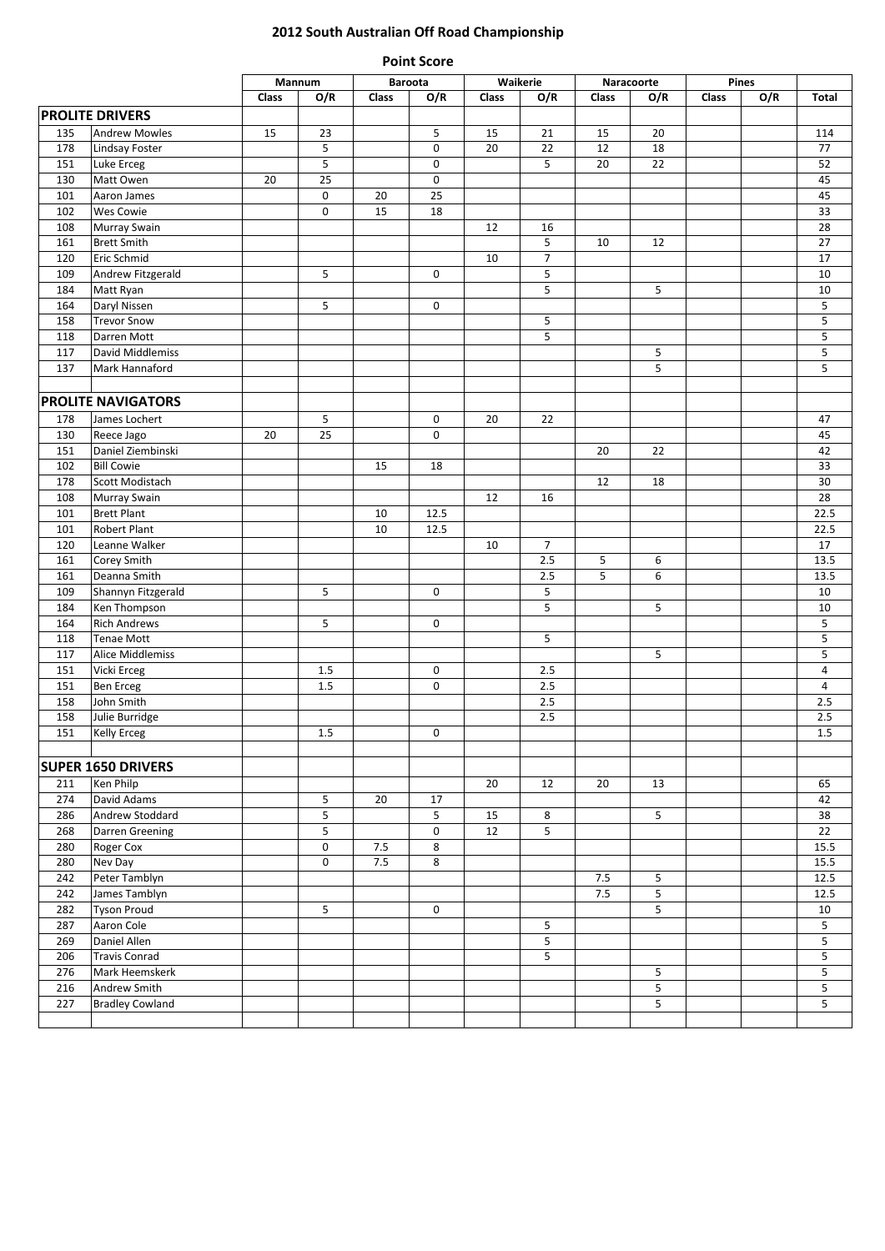## **2012 South Australian Off Road Championship**

|     |                           |       | Mannum                  |         | <b>Baroota</b> |       | Waikerie       |         | Naracoorte     |       | Pines |                |
|-----|---------------------------|-------|-------------------------|---------|----------------|-------|----------------|---------|----------------|-------|-------|----------------|
|     |                           | Class | O/R                     | Class   | O/R            | Class | O/R            | Class   | O/R            | Class | O/R   | Total          |
|     | <b>PROLITE DRIVERS</b>    |       |                         |         |                |       |                |         |                |       |       |                |
| 135 | <b>Andrew Mowles</b>      | 15    | 23                      |         | 5              | 15    | 21             | 15      | 20             |       |       | 114            |
| 178 | <b>Lindsay Foster</b>     |       | 5                       |         | $\pmb{0}$      | 20    | 22             | 12      | 18             |       |       | 77             |
| 151 | Luke Erceg                |       | $\overline{\mathbf{5}}$ |         | $\pmb{0}$      |       | 5              | 20      | 22             |       |       | 52             |
| 130 | Matt Owen                 | 20    | 25                      |         | $\pmb{0}$      |       |                |         |                |       |       | 45             |
| 101 | Aaron James               |       | $\pmb{0}$               | 20      | 25             |       |                |         |                |       |       | 45             |
| 102 | <b>Wes Cowie</b>          |       | 0                       | 15      | 18             |       |                |         |                |       |       | 33             |
| 108 | <b>Murray Swain</b>       |       |                         |         |                | 12    | 16             |         |                |       |       | 28             |
| 161 | <b>Brett Smith</b>        |       |                         |         |                |       | 5              | 10      | 12             |       |       | 27             |
| 120 | Eric Schmid               |       |                         |         |                | 10    | $\overline{7}$ |         |                |       |       | 17             |
| 109 | Andrew Fitzgerald         |       | 5                       |         | $\mathbf 0$    |       | 5              |         |                |       |       | 10             |
| 184 | Matt Ryan                 |       |                         |         |                |       | 5              |         | 5              |       |       | 10             |
| 164 | Daryl Nissen              |       | 5                       |         | $\mathbf 0$    |       |                |         |                |       |       | 5              |
| 158 |                           |       |                         |         |                |       | 5              |         |                |       |       | 5              |
|     | <b>Trevor Snow</b>        |       |                         |         |                |       | 5              |         |                |       |       |                |
| 118 | Darren Mott               |       |                         |         |                |       |                |         |                |       |       | 5              |
| 117 | David Middlemiss          |       |                         |         |                |       |                |         | 5              |       |       | $\mathsf S$    |
| 137 | Mark Hannaford            |       |                         |         |                |       |                |         | 5              |       |       | 5              |
|     |                           |       |                         |         |                |       |                |         |                |       |       |                |
|     | <b>PROLITE NAVIGATORS</b> |       |                         |         |                |       |                |         |                |       |       |                |
| 178 | James Lochert             |       | 5                       |         | 0              | 20    | 22             |         |                |       |       | 47             |
| 130 | Reece Jago                | 20    | 25                      |         | $\mathbf 0$    |       |                |         |                |       |       | 45             |
| 151 | Daniel Ziembinski         |       |                         |         |                |       |                | 20      | 22             |       |       | 42             |
| 102 | <b>Bill Cowie</b>         |       |                         | 15      | 18             |       |                |         |                |       |       | 33             |
| 178 | Scott Modistach           |       |                         |         |                |       |                | 12      | 18             |       |       | 30             |
| 108 | <b>Murray Swain</b>       |       |                         |         |                | 12    | 16             |         |                |       |       | 28             |
| 101 | <b>Brett Plant</b>        |       |                         | 10      | 12.5           |       |                |         |                |       |       | 22.5           |
| 101 | Robert Plant              |       |                         | 10      | 12.5           |       |                |         |                |       |       | 22.5           |
| 120 | Leanne Walker             |       |                         |         |                | 10    | $\overline{7}$ |         |                |       |       | 17             |
| 161 | Corey Smith               |       |                         |         |                |       | 2.5            | 5       | 6              |       |       | 13.5           |
|     |                           |       |                         |         |                |       |                |         |                |       |       |                |
| 161 | Deanna Smith              |       |                         |         |                |       | $2.5\,$        | 5       | 6              |       |       | 13.5           |
| 109 | Shannyn Fitzgerald        |       | 5                       |         | $\mathbf 0$    |       | 5              |         |                |       |       | 10             |
| 184 | Ken Thompson              |       |                         |         |                |       | 5              |         | 5              |       |       | 10             |
| 164 | <b>Rich Andrews</b>       |       | 5                       |         | $\mathbf 0$    |       |                |         |                |       |       | 5              |
| 118 | <b>Tenae Mott</b>         |       |                         |         |                |       | 5              |         |                |       |       | 5              |
| 117 | <b>Alice Middlemiss</b>   |       |                         |         |                |       |                |         | 5              |       |       | $\mathsf S$    |
| 151 | Vicki Erceg               |       | 1.5                     |         | $\pmb{0}$      |       | 2.5            |         |                |       |       | 4              |
| 151 | <b>Ben Erceg</b>          |       | $1.5\,$                 |         | $\pmb{0}$      |       | $2.5\,$        |         |                |       |       | $\overline{a}$ |
| 158 | John Smith                |       |                         |         |                |       | $2.5\,$        |         |                |       |       | 2.5            |
| 158 | Julie Burridge            |       |                         |         |                |       | 2.5            |         |                |       |       | $2.5\,$        |
| 151 | Kelly Erceg               |       | $1.5\,$                 |         | 0              |       |                |         |                |       |       | $1.5\,$        |
|     |                           |       |                         |         |                |       |                |         |                |       |       |                |
|     | <b>SUPER 1650 DRIVERS</b> |       |                         |         |                |       |                |         |                |       |       |                |
| 211 | Ken Philp                 |       |                         |         |                | 20    | 12             | 20      | 13             |       |       | 65             |
| 274 | David Adams               |       | 5                       | 20      | 17             |       |                |         |                |       |       | 42             |
| 286 | Andrew Stoddard           |       | $\sf 5$                 |         | 5              | 15    | 8              |         | 5              |       |       | 38             |
|     |                           |       |                         |         |                |       | 5              |         |                |       |       |                |
| 268 | Darren Greening           |       | $\mathsf S$             |         | 0              | 12    |                |         |                |       |       | 22             |
| 280 | Roger Cox                 |       | $\pmb{0}$               | $7.5\,$ | 8              |       |                |         |                |       |       | 15.5           |
| 280 | Nev Day                   |       | $\pmb{0}$               | 7.5     | 8              |       |                |         |                |       |       | 15.5           |
| 242 | Peter Tamblyn             |       |                         |         |                |       |                | $7.5\,$ | 5              |       |       | 12.5           |
| 242 | James Tamblyn             |       |                         |         |                |       |                | 7.5     | $\overline{5}$ |       |       | 12.5           |
| 282 | <b>Tyson Proud</b>        |       | 5                       |         | 0              |       |                |         | 5              |       |       | 10             |
| 287 | Aaron Cole                |       |                         |         |                |       | 5              |         |                |       |       | 5              |
| 269 | Daniel Allen              |       |                         |         |                |       | 5              |         |                |       |       | 5              |
| 206 | <b>Travis Conrad</b>      |       |                         |         |                |       | 5              |         |                |       |       | 5              |
| 276 | Mark Heemskerk            |       |                         |         |                |       |                |         | 5              |       |       | 5              |
| 216 | Andrew Smith              |       |                         |         |                |       |                |         | 5              |       |       | 5              |
| 227 | <b>Bradley Cowland</b>    |       |                         |         |                |       |                |         | 5              |       |       | 5              |
|     |                           |       |                         |         |                |       |                |         |                |       |       |                |

**Point Score**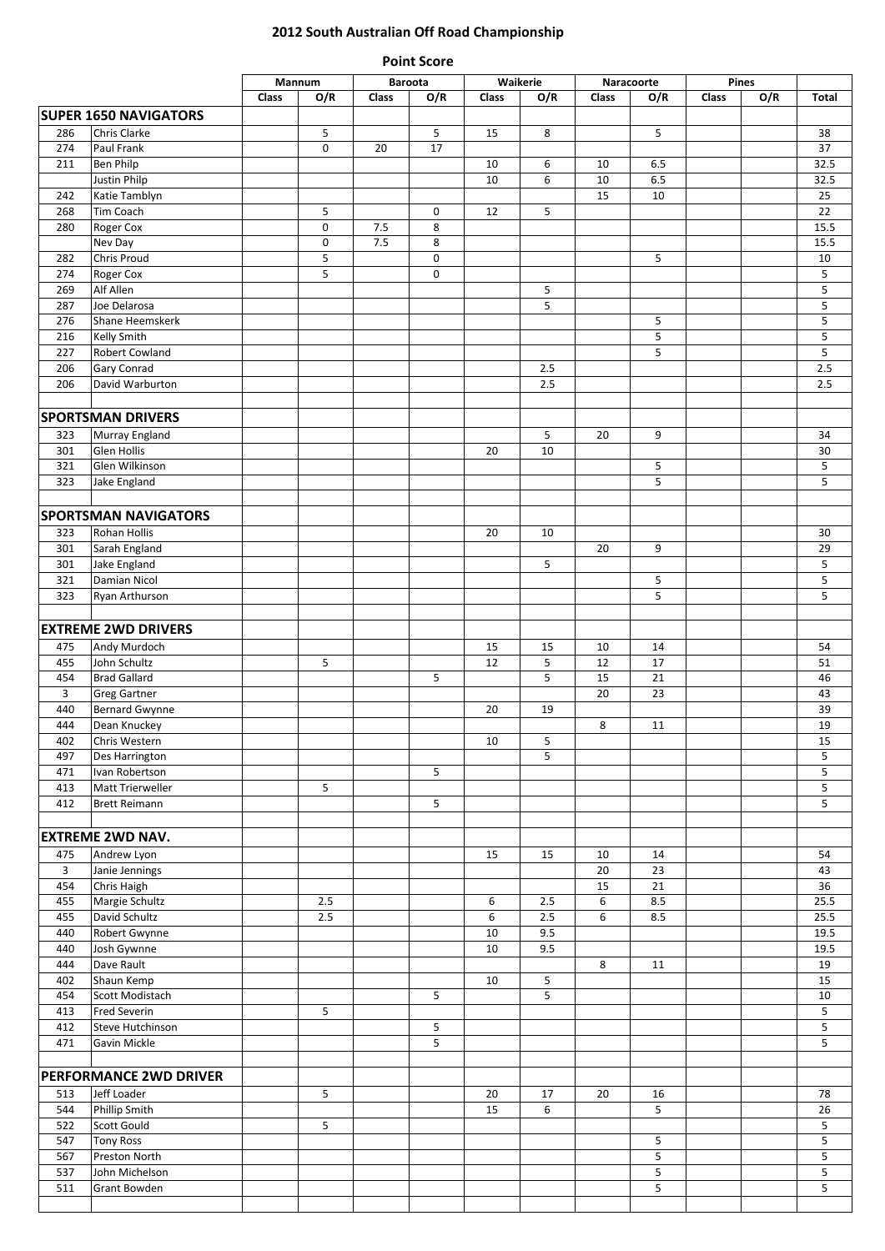## **2012 South Australian Off Road Championship Point Score**

|            |                                    |       | Mannum      |            | <b>Baroota</b> |          | Waikerie        | Naracoorte |             | Pines |     |              |
|------------|------------------------------------|-------|-------------|------------|----------------|----------|-----------------|------------|-------------|-------|-----|--------------|
|            |                                    | Class | O/R         | Class      | O/R            | Class    | O/R             | Class      | O/R         | Class | O/R | Total        |
|            | <b>SUPER 1650 NAVIGATORS</b>       |       |             |            |                |          |                 |            |             |       |     |              |
| 286        | Chris Clarke                       |       | 5           |            | 5              | 15       | 8               |            | 5           |       |     | 38           |
| 274        | Paul Frank                         |       | 0           | 20         | 17             |          |                 |            |             |       |     | 37           |
| 211        | <b>Ben Philp</b>                   |       |             |            |                | 10       | 6               | 10         | 6.5         |       |     | 32.5         |
|            | Justin Philp                       |       |             |            |                | 10       | 6               | 10         | 6.5         |       |     | 32.5         |
| 242        | Katie Tamblyn                      |       |             |            |                |          |                 | 15         | 10          |       |     | 25           |
| 268        | Tim Coach                          |       | 5           |            | $\pmb{0}$      | 12       | 5               |            |             |       |     | 22           |
| 280        | Roger Cox<br>Nev Day               |       | 0<br>0      | 7.5<br>7.5 | 8<br>8         |          |                 |            |             |       |     | 15.5<br>15.5 |
| 282        | Chris Proud                        |       | 5           |            | $\pmb{0}$      |          |                 |            | 5           |       |     | 10           |
| 274        | Roger Cox                          |       | $\mathsf S$ |            | $\mathbf 0$    |          |                 |            |             |       |     | 5            |
| 269        | Alf Allen                          |       |             |            |                |          | 5               |            |             |       |     | 5            |
| 287        | Joe Delarosa                       |       |             |            |                |          | 5               |            |             |       |     | 5            |
| 276        | Shane Heemskerk                    |       |             |            |                |          |                 |            | 5           |       |     | 5            |
| 216        | Kelly Smith                        |       |             |            |                |          |                 |            | 5           |       |     | $\mathsf S$  |
| 227        | Robert Cowland                     |       |             |            |                |          |                 |            | 5           |       |     | $\mathsf S$  |
| 206<br>206 | Gary Conrad<br>David Warburton     |       |             |            |                |          | 2.5<br>2.5      |            |             |       |     | 2.5<br>2.5   |
|            |                                    |       |             |            |                |          |                 |            |             |       |     |              |
|            | <b>SPORTSMAN DRIVERS</b>           |       |             |            |                |          |                 |            |             |       |     |              |
| 323        | Murray England                     |       |             |            |                |          | 5               | 20         | 9           |       |     | 34           |
| 301        | Glen Hollis                        |       |             |            |                | 20       | 10              |            |             |       |     | 30           |
| 321        | Glen Wilkinson                     |       |             |            |                |          |                 |            | 5           |       |     | 5            |
| 323        | Jake England                       |       |             |            |                |          |                 |            | 5           |       |     | 5            |
|            |                                    |       |             |            |                |          |                 |            |             |       |     |              |
|            | <b>SPORTSMAN NAVIGATORS</b>        |       |             |            |                |          |                 |            |             |       |     |              |
| 323        | Rohan Hollis                       |       |             |            |                | 20       | 10              |            |             |       |     | 30           |
| 301        | Sarah England                      |       |             |            |                |          |                 | 20         | 9           |       |     | 29           |
| 301        | Jake England                       |       |             |            |                |          | 5               |            |             |       |     | 5            |
| 321<br>323 | <b>Damian Nicol</b>                |       |             |            |                |          |                 |            | 5<br>5      |       |     | 5<br>5       |
|            | Ryan Arthurson                     |       |             |            |                |          |                 |            |             |       |     |              |
|            | <b>EXTREME 2WD DRIVERS</b>         |       |             |            |                |          |                 |            |             |       |     |              |
| 475        | Andy Murdoch                       |       |             |            |                | 15       | 15              | 10         | 14          |       |     | 54           |
| 455        | John Schultz                       |       | 5           |            |                | 12       | 5               | 12         | 17          |       |     | 51           |
| 454        | <b>Brad Gallard</b>                |       |             |            | 5              |          | 5               | 15         | 21          |       |     | 46           |
| 3          | <b>Greg Gartner</b>                |       |             |            |                |          |                 | 20         | 23          |       |     | 43           |
| 440        | Bernard Gwynne                     |       |             |            |                | 20       | 19              |            |             |       |     | 39           |
| 444        | Dean Knuckey                       |       |             |            |                |          |                 | 8          | 11          |       |     | 19           |
| 402        | Chris Western                      |       |             |            |                | 10       | 5               |            |             |       |     | 15           |
| 497        | Des Harrington                     |       |             |            |                |          | 5               |            |             |       |     | 5            |
| 471<br>413 | Ivan Robertson<br>Matt Trierweller |       | 5           |            | 5              |          |                 |            |             |       |     | 5<br>5       |
| 412        | <b>Brett Reimann</b>               |       |             |            | 5              |          |                 |            |             |       |     | 5            |
|            |                                    |       |             |            |                |          |                 |            |             |       |     |              |
|            | <b>EXTREME 2WD NAV.</b>            |       |             |            |                |          |                 |            |             |       |     |              |
| 475        | Andrew Lyon                        |       |             |            |                | 15       | 15              | 10         | 14          |       |     | 54           |
| 3          | Janie Jennings                     |       |             |            |                |          |                 | 20         | 23          |       |     | 43           |
| 454        | Chris Haigh                        |       |             |            |                |          |                 | 15         | 21          |       |     | 36           |
| 455        | Margie Schultz                     |       | 2.5         |            |                | 6        | 2.5             | 6          | 8.5         |       |     | 25.5         |
| 455<br>440 | David Schultz                      |       | 2.5         |            |                | 6<br>10  | $2.5$<br>9.5    | 6          | 8.5         |       |     | 25.5<br>19.5 |
| 440        | Robert Gwynne<br>Josh Gywnne       |       |             |            |                | 10       | 9.5             |            |             |       |     | 19.5         |
| 444        | Dave Rault                         |       |             |            |                |          |                 | 8          | 11          |       |     | 19           |
| 402        | Shaun Kemp                         |       |             |            |                | 10       | $5\phantom{.0}$ |            |             |       |     | 15           |
| 454        | Scott Modistach                    |       |             |            | 5              |          | 5               |            |             |       |     | 10           |
| 413        | <b>Fred Severin</b>                |       | 5           |            |                |          |                 |            |             |       |     | 5            |
| 412        | Steve Hutchinson                   |       |             |            | 5              |          |                 |            |             |       |     | 5            |
| 471        | Gavin Mickle                       |       |             |            | 5              |          |                 |            |             |       |     | 5            |
|            |                                    |       |             |            |                |          |                 |            |             |       |     |              |
|            | <b>PERFORMANCE 2WD DRIVER</b>      |       |             |            |                |          |                 |            |             |       |     |              |
| 513<br>544 | Jeff Loader<br>Phillip Smith       |       | 5           |            |                | 20<br>15 | 17<br>6         | 20         | 16<br>5     |       |     | 78<br>26     |
| 522        | Scott Gould                        |       | 5           |            |                |          |                 |            |             |       |     | 5            |
| 547        | <b>Tony Ross</b>                   |       |             |            |                |          |                 |            | 5           |       |     | 5            |
| 567        | Preston North                      |       |             |            |                |          |                 |            | 5           |       |     | 5            |
| 537        | John Michelson                     |       |             |            |                |          |                 |            | $\mathsf S$ |       |     | $\mathsf S$  |
| 511        | <b>Grant Bowden</b>                |       |             |            |                |          |                 |            | 5           |       |     | 5            |
|            |                                    |       |             |            |                |          |                 |            |             |       |     |              |